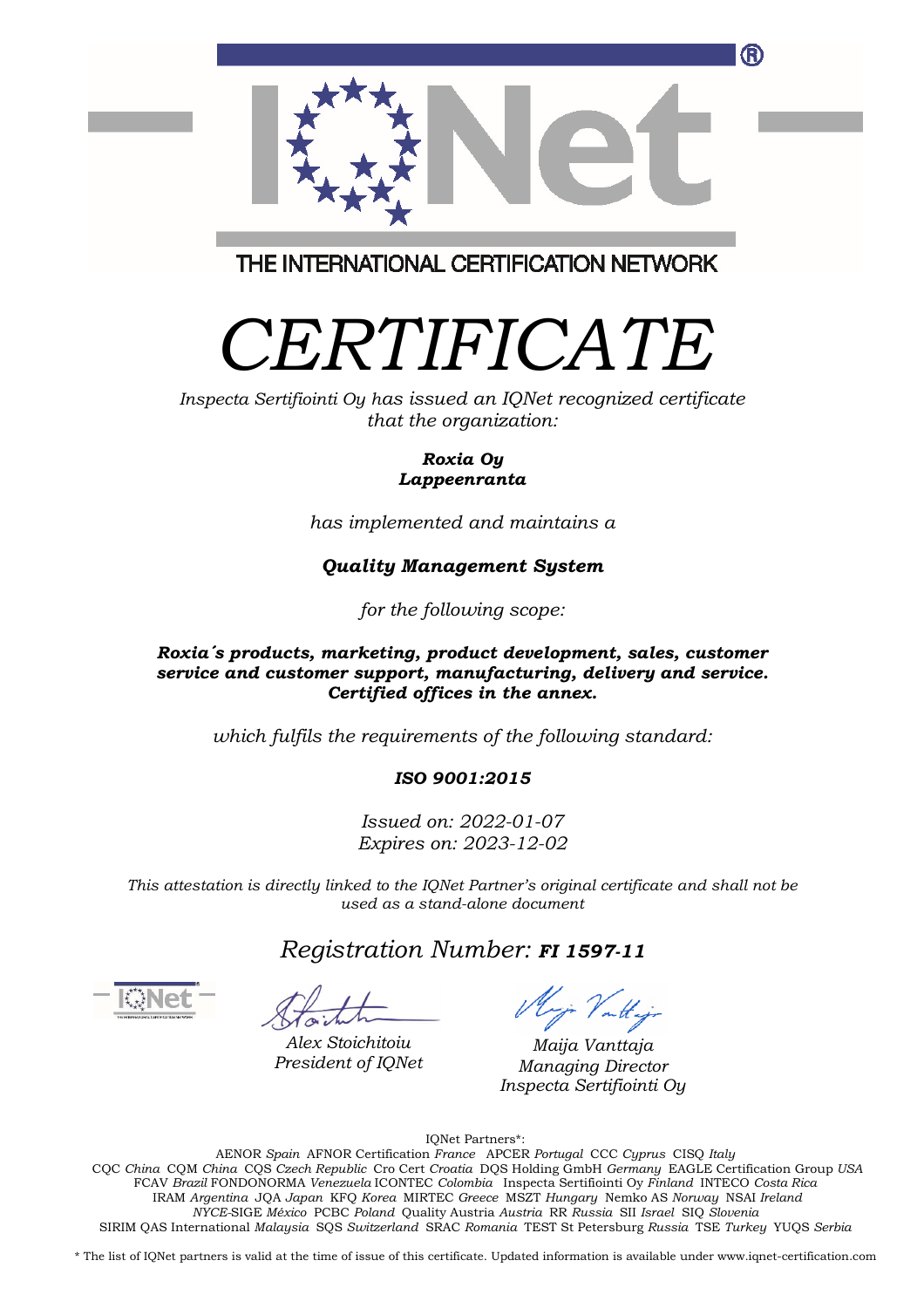

THE INTERNATIONAL CERTIFICATION NETWORK

# *CERTIFICATE*

*Inspecta Sertifiointi Oy has issued an IQNet recognized certificate that the organization:* 

#### *Roxia Oy Lappeenranta*

*has implemented and maintains a* 

# *Quality Management System*

*for the following scope:* 

#### *Roxia´s products, marketing, product development, sales, customer service and customer support, manufacturing, delivery and service. Certified offices in the annex.*

*which fulfils the requirements of the following standard:* 

## *ISO 9001:2015*

*Issued on: 2022-01-07 Expires on: 2023-12-02* 

*This attestation is directly linked to the IQNet Partner's original certificate and shall not be used as a stand-alone document* 

*Registration Number: FI 1597-11*

*Alex Stoichitoiu President of IQNet*

Majo Vattajo

*Maija Vanttaja Managing Director Inspecta Sertifiointi Oy*

IQNet Partners\*:

AENOR *Spain* AFNOR Certification *France* APCER *Portugal* CCC *Cyprus* CISQ *Italy*  CQC *China* CQM *China* CQS *Czech Republic* Cro Cert *Croatia* DQS Holding GmbH *Germany* EAGLE Certification Group *USA*  FCAV *Brazil* FONDONORMA *Venezuela* ICONTEC *Colombia* Inspecta Sertifiointi Oy *Finland* INTECO *Costa Rica*  IRAM *Argentina* JQA *Japan* KFQ *Korea* MIRTEC *Greece* MSZT *Hungary* Nemko AS *Norway* NSAI *Ireland NYCE-*SIGE *México* PCBC *Poland* Quality Austria *Austria* RR *Russia* SII *Israel* SIQ *Slovenia*  SIRIM QAS International *Malaysia* SQS *Switzerland* SRAC *Romania* TEST St Petersburg *Russia* TSE *Turkey* YUQS *Serbia* 

\* The list of IQNet partners is valid at the time of issue of this certificate. Updated information is available under www.iqnet-certification.com